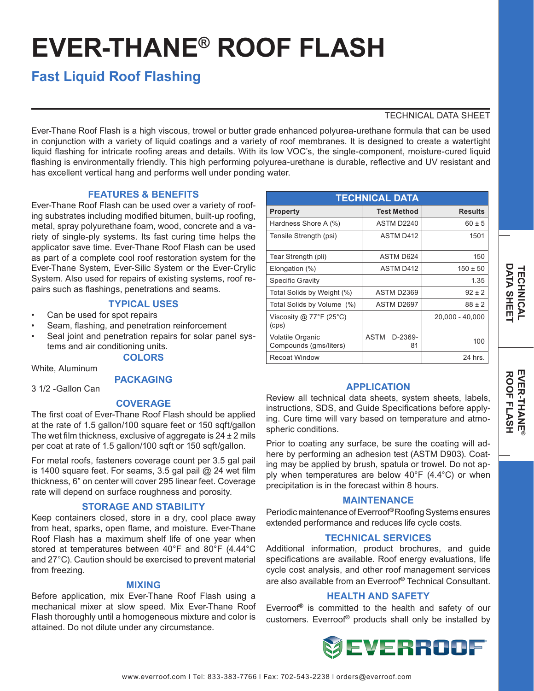# **EVER-THANE® ROOF FLASH**

# **Fast Liquid Roof Flashing**

## TECHNICAL DATA SHEET

Ever-Thane Roof Flash is a high viscous, trowel or butter grade enhanced polyurea-urethane formula that can be used in conjunction with a variety of liquid coatings and a variety of roof membranes. It is designed to create a watertight liquid flashing for intricate roofing areas and details. With its low VOC's, the single-component, moisture-cured liquid flashing is environmentally friendly. This high performing polyurea-urethane is durable, reflective and UV resistant and has excellent vertical hang and performs well under ponding water.

### **FEATURES & BENEFITS**

Ever-Thane Roof Flash can be used over a variety of roofing substrates including modified bitumen, built-up roofing, metal, spray polyurethane foam, wood, concrete and a variety of single-ply systems. Its fast curing time helps the applicator save time. Ever-Thane Roof Flash can be used as part of a complete cool roof restoration system for the Ever-Thane System, Ever-Silic System or the Ever-Crylic System. Also used for repairs of existing systems, roof repairs such as flashings, penetrations and seams.

#### **TYPICAL USES**

- Can be used for spot repairs
- Seam, flashing, and penetration reinforcement
- Seal joint and penetration repairs for solar panel systems and air conditioning units.

# **COLORS**

#### White, Aluminum

#### **PACKAGING**

3 1/2 -Gallon Can

#### **COVERAGE**

The first coat of Ever-Thane Roof Flash should be applied at the rate of 1.5 gallon/100 square feet or 150 sqft/gallon The wet film thickness, exclusive of aggregate is  $24 \pm 2$  mils per coat at rate of 1.5 gallon/100 sqft or 150 sqft/gallon.

For metal roofs, fasteners coverage count per 3.5 gal pail is 1400 square feet. For seams, 3.5 gal pail @ 24 wet film thickness, 6" on center will cover 295 linear feet. Coverage rate will depend on surface roughness and porosity.

#### **STORAGE AND STABILITY**

Keep containers closed, store in a dry, cool place away from heat, sparks, open flame, and moisture. Ever-Thane Roof Flash has a maximum shelf life of one year when stored at temperatures between 40°F and 80°F (4.44°C and 27°C). Caution should be exercised to prevent material from freezing.

#### **MIXING**

Before application, mix Ever-Thane Roof Flash using a mechanical mixer at slow speed. Mix Ever-Thane Roof Flash thoroughly until a homogeneous mixture and color is attained. Do not dilute under any circumstance.

| <b>TECHNICAL DATA</b>                      |                       |                 |
|--------------------------------------------|-----------------------|-----------------|
| Property                                   | <b>Test Method</b>    | <b>Results</b>  |
| Hardness Shore A (%)                       | ASTM D2240            | $60 \pm 5$      |
| Tensile Strength (psi)                     | <b>ASTM D412</b>      | 1501            |
| Tear Strength (pli)                        | <b>ASTM D624</b>      | 150             |
| Elongation (%)                             | <b>ASTM D412</b>      | $150 \pm 50$    |
| <b>Specific Gravity</b>                    |                       | 1.35            |
| Total Solids by Weight (%)                 | ASTM D2369            | $92 \pm 2$      |
| Total Solids by Volume (%)                 | ASTM D2697            | $88 \pm 2$      |
| Viscosity @ 77°F (25°C)<br>(cps)           |                       | 20,000 - 40,000 |
| Volatile Organic<br>Compounds (gms/liters) | ASTM<br>D-2369-<br>81 | 100             |
| <b>Recoat Window</b>                       |                       | 24 hrs.         |

#### **APPLICATION**

Review all technical data sheets, system sheets, labels, instructions, SDS, and Guide Specifications before applying. Cure time will vary based on temperature and atmospheric conditions.

Prior to coating any surface, be sure the coating will adhere by performing an adhesion test (ASTM D903). Coating may be applied by brush, spatula or trowel. Do not apply when temperatures are below 40°F (4.4°C) or when precipitation is in the forecast within 8 hours.

#### **MAINTENANCE**

Periodic maintenance of Everroof**®**Roofing Systems ensures extended performance and reduces life cycle costs.

#### **TECHNICAL SERVICES**

Additional information, product brochures, and guide specifications are available. Roof energy evaluations, life cycle cost analysis, and other roof management services are also available from an Everroof**®** Technical Consultant.

#### **HEALTH AND SAFETY**

Everroof**®** is committed to the health and safety of our customers. Everroof**®** products shall only be installed by